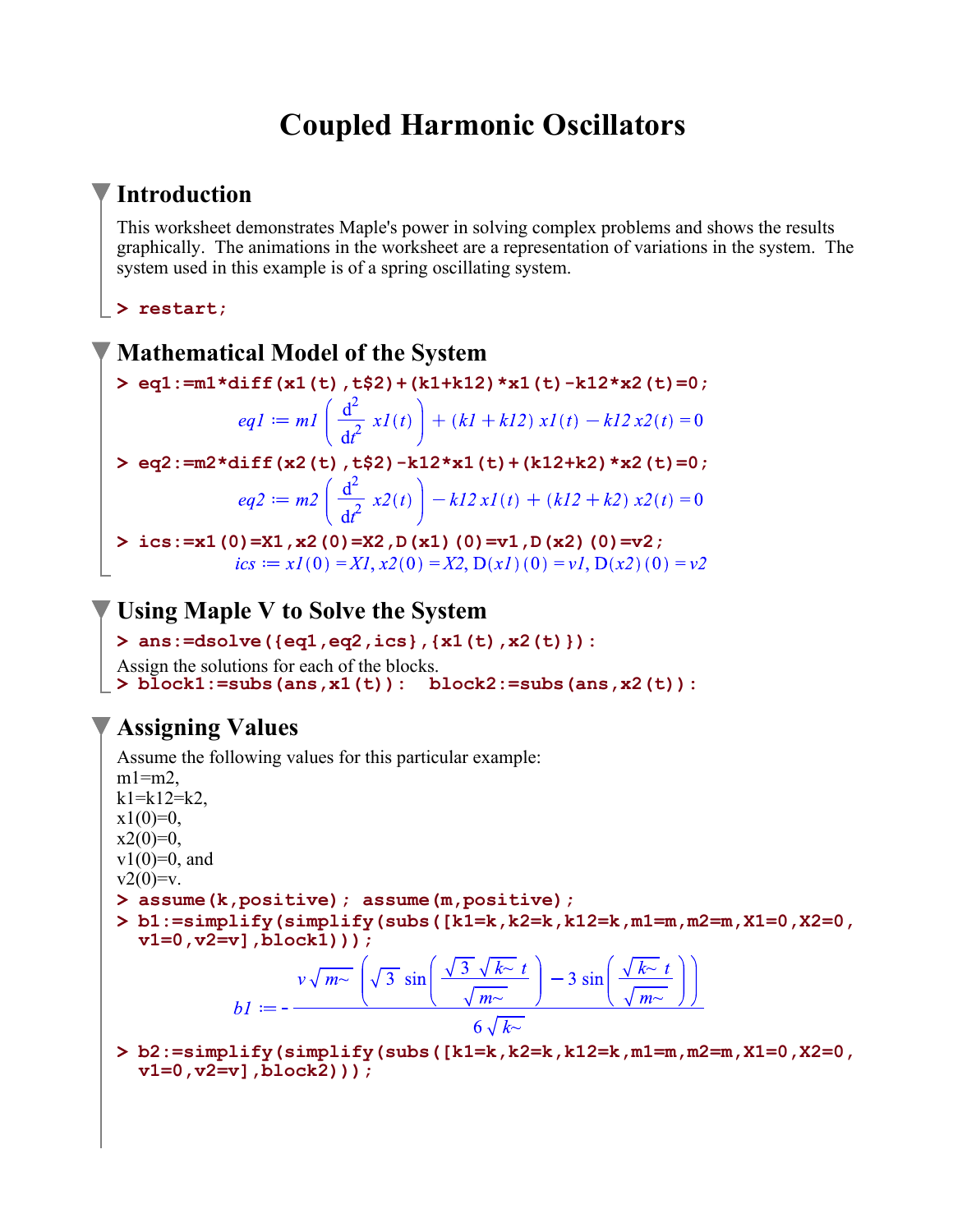# **Coupled Harmonic Oscillators**

## **Introduction**

This worksheet demonstrates Maple's power in solving complex problems and shows the results graphically. The animations in the worksheet are a representation of variations in the system. The system used in this example is of a spring oscillating system.

**> restart;**

### **Mathematical Model of the System**

**> eq1:=m1\*diff(x1(t),t\$2)+(k1+k12)\*x1(t)-k12\*x2(t)=0;**

$$
eqI := mI\left(\frac{d^2}{dt^2} xI(t)\right) + (kI + kI2) xI(t) - kI2 x2(t) = 0
$$

**> eq2:=m2\*diff(x2(t),t\$2)-k12\*x1(t)+(k12+k2)\*x2(t)=0;**

**> ics:=x1(0)=X1,x2(0)=X2,D(x1)(0)=v1,D(x2)(0)=v2;**  $ics := xI(0) = XI, x2(0) = X2, D(xI)(0) = vI, D(x2)(0) = v2$ 

## **Using Maple V to Solve the System**

**> ans:=dsolve({eq1,eq2,ics},{x1(t),x2(t)}):**

Assign the solutions for each of the blocks.

**> block1:=subs(ans,x1(t)): block2:=subs(ans,x2(t)):**

## **Assigning Values**

Assume the following values for this particular example:  $m1=$ m2,  $k1=k12=k2$ .  $x1(0)=0$ ,  $x2(0)=0$ ,  $v1(0)=0$ , and  $v2(0)=v.$ **> assume(k,positive); assume(m,positive); > b1:=simplify(simplify(subs([k1=k,k2=k,k12=k,m1=m,m2=m,X1=0,X2=0, v1=0,v2=v],block1)));**  $bI := -\frac{v\sqrt{m-1}}{2\pi}\left(\sqrt{3}\sin\left(\frac{\sqrt{3}\sqrt{k-1}}{\sqrt{m-1}}\right) - 3\sin\left(\frac{\sqrt{k-1}}{\sqrt{m-1}}\right)\right)$ **> b2:=simplify(simplify(subs([k1=k,k2=k,k12=k,m1=m,m2=m,X1=0,X2=0, v1=0,v2=v],block2)));**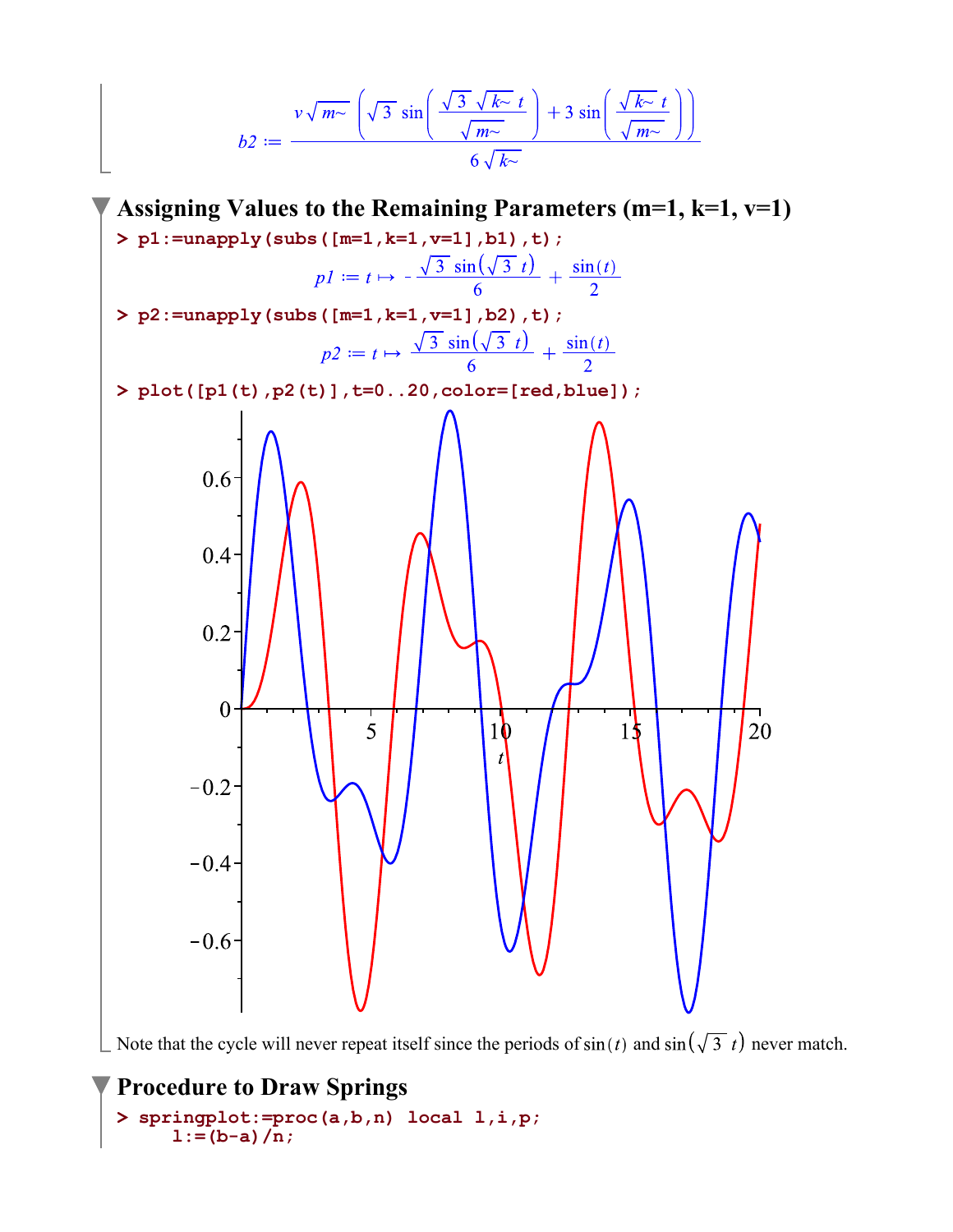$$
b2 := \frac{v\sqrt{m^{\sim}}\left(\sqrt{3}\sin\left(\frac{\sqrt{3}\sqrt{k^{\sim}}t}{\sqrt{m^{\sim}}t}\right) + 3\sin\left(\frac{\sqrt{k^{\sim}}t}{\sqrt{m^{\sim}}t}\right)\right)}{6\sqrt{k^{\sim}}}
$$



Note that the cycle will never repeat itself since the periods of  $sin(t)$  and  $sin(\sqrt{3} t)$  never match.

### **Procedure to Draw Springs**

```
> 
springplot:=proc(a,b,n) local l,i,p;
    1:=(b-a)/n;
```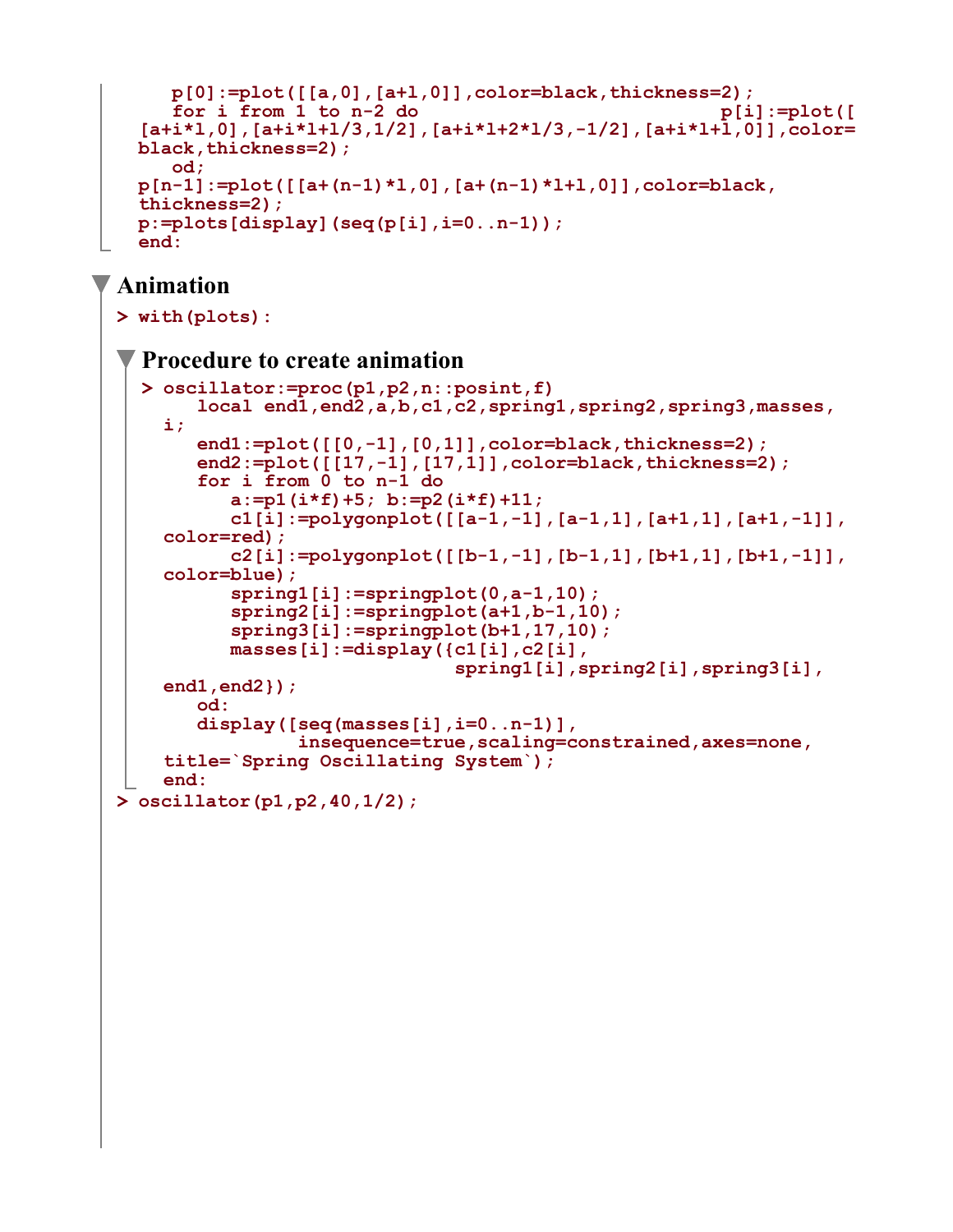```
 p[0]:=plot([[a,0],[a+l,0]],color=black,thickness=2);
    for i from 1 to n-2 do equal point point point point point point point point point point point point point point point point point point point point point point point point point point point point point point point point 
[a+i*l,0],[a+i*l+l/3,1/2],[a+i*l+2*l/3,-1/2],[a+i*l+l,0]],color=
black,thickness=2);
     od;
p[n-1]:=plot([[a+(n-1)*l,0],[a+(n-1)*l+l,0]],color=black,
thickness=2);
p:=plots[display](seq(p[i],i=0..n-1));
end:
```
## **Animation**

```
> 
oscillator(p1,p2,40,1/2);> 
with(plots):
  > 
oscillator:=proc(p1,p2,n::posint,f) 
 Procedure to create animation
        local end1,end2,a,b,c1,c2,spring1,spring2,spring3,masses,
    i;
        end1:=plot([[0,-1],[0,1]],color=black,thickness=2);
        end2:=plot([[17,-1],[17,1]],color=black,thickness=2); 
        for i from 0 to n-1 do
           a:=p1(i*f)+5; b:=p2(i*f)+11;
           c1[i]:=polygonplot([[a-1,-1],[a-1,1],[a+1,1],[a+1,-1]],
    color=red);
           c2[i]:=polygonplot([[b-1,-1],[b-1,1],[b+1,1],[b+1,-1]],
    color=blue);
           spring1[i]:=springplot(0,a-1,10);
           spring2[i]:=springplot(a+1,b-1,10);
           spring3[i]:=springplot(b+1,17,10); 
           masses[i]:=display({c1[i],c2[i],
                                spring1[i],spring2[i],spring3[i],
    end1,end2});
        od:
        display([seq(masses[i],i=0..n-1)],
                 insequence=true,scaling=constrained,axes=none, 
    title=`Spring Oscillating System`);
    end:
```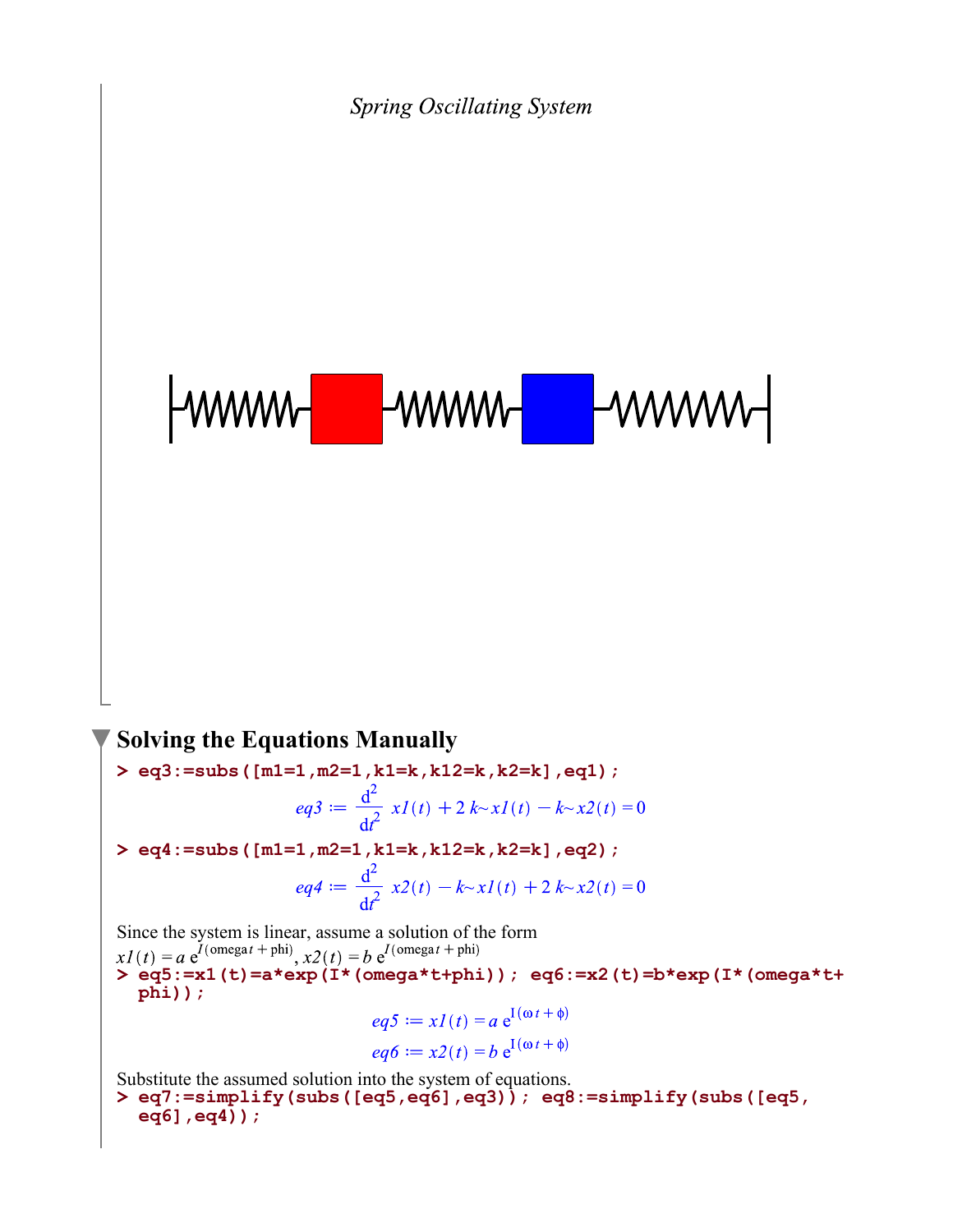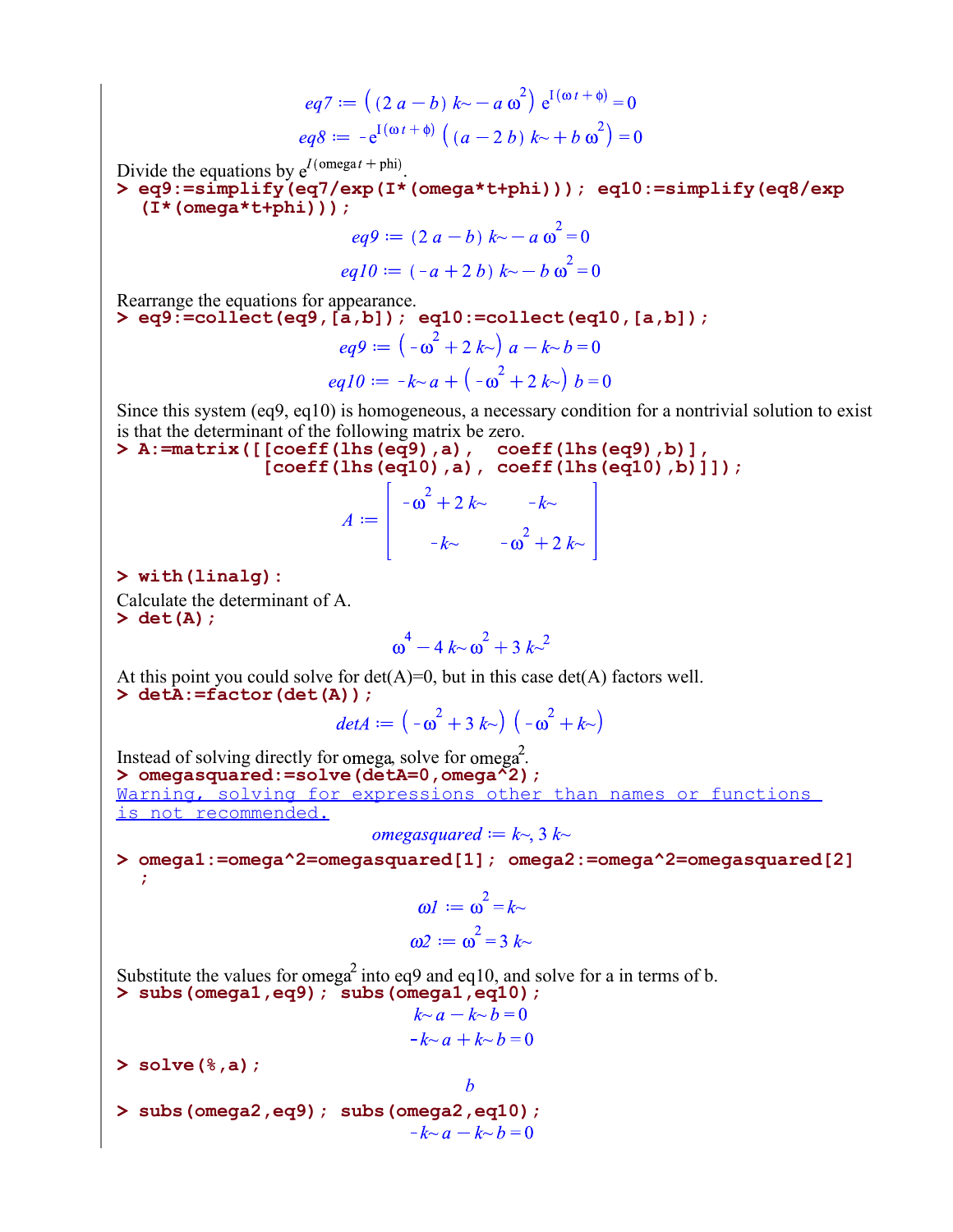$$
eq7 := ((2 a - b) k \sim -a \omega^{2}) e^{i(\omega t + \phi)} = 0
$$
  

$$
eq8 := -e^{i(\omega t + \phi)} ((a - 2 b) k \sim +b \omega^{2}) = 0
$$

Divide the equations by  $e^{I(\text{omega}t + phi)}$ .

**> eq9:=simplify(eq7/exp(I\*(omega\*t+phi))); eq10:=simplify(eq8/exp (I\*(omega\*t+phi)));**

$$
eq9 := (2 a - b) k - a \omega^{2} = 0
$$
  
eq10 := (-a + 2 b) k - b \omega^{2} = 0

Rearrange the equations for appearance.

**> eq9:=collect(eq9,[a,b]); eq10:=collect(eq10,[a,b]);**

$$
eq9 := (-\omega^{2} + 2 k \gamma) a - k \gamma b = 0
$$
  
eq10 :=  $-k \gamma a + (-\omega^{2} + 2 k \gamma) b = 0$ 

Since this system (eq9, eq10) is homogeneous, a necessary condition for a nontrivial solution to exist is that the determinant of the following matrix be zero.

**> A:=matrix([[coeff(lhs(eq9),a), coeff(lhs(eq9),b)], [coeff(lhs(eq10),a), coeff(lhs(eq10),b)]]);**  $\Gamma$  $\mathbf{L}$ 

$$
A := \begin{bmatrix} -\omega^2 + 2k - k - k \\ -k - \omega^2 + 2k - k - k \end{bmatrix}
$$

**> with(linalg):**

**> det(A);** Calculate the determinant of A.

$$
\omega^4 - 4k \sim \omega^2 + 3k \sim^2
$$

**> detA:=factor(det(A));** At this point you could solve for  $det(A)=0$ , but in this case  $det(A)$  factors well.

$$
det A := \left(-\omega^2 + 3 \, k \right) \, \left(-\omega^2 + k \right)
$$

**> omegasquared:=solve(detA=0,omega^2);** Instead of solving directly for omega, solve for omega. Warning, solving for expressions other than names or functions is not recommended.

$$
omega = k \sim, 3 k \sim
$$

**> omega1:=omega^2=omegasquared[1]; omega2:=omega^2=omegasquared[2] ;**

$$
\omega l := \omega^2 = k \sim
$$
  

$$
\omega 2 := \omega^2 = 3 k \sim
$$

*b*

Substitute the values for omega<sup>2</sup> into eq9 and eq10, and solve for a in terms of b.

> subs (omega, eq9) ; subs (omega, -k~a - k~b = 0  
\nk~a + k~b = 0  
\nSolve 
$$
(2, 3)
$$
 :

**> solve(%,a);**

**> subs(omega2,eq9); subs(omega2,eq10);**  $-k \sim a - k \sim b = 0$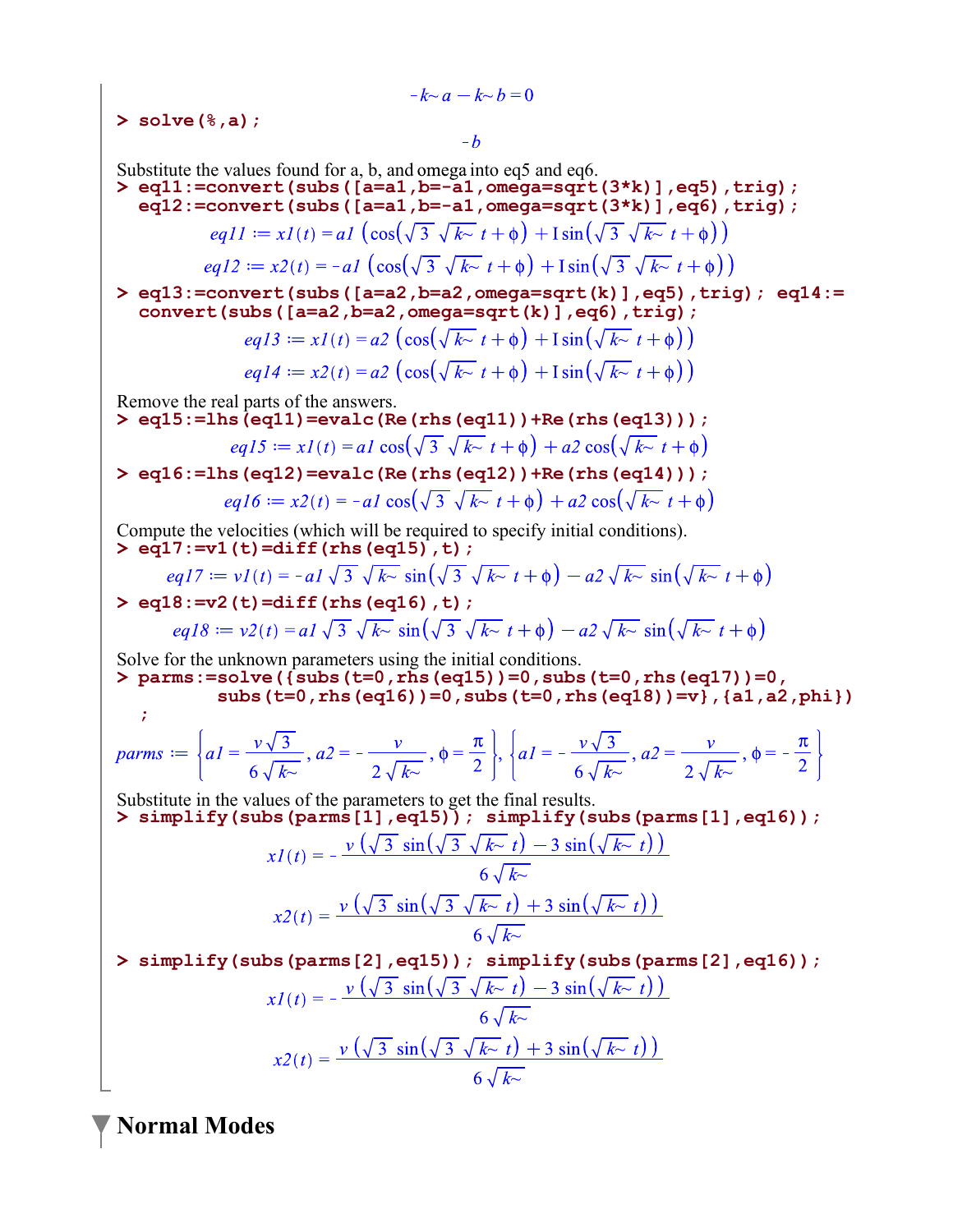$-k \sim a - k \sim b = 0$ **> solve(%,a);**  $-h$ Substitute the values found for  $a$ ,  $b$ , and omega into eq5 and eq6. **> eq11:=convert(subs([a=a1,b=-a1,omega=sqrt(3\*k)],eq5),trig); eq12:=convert(subs([a=a1,b=-a1,omega=sqrt(3\*k)],eq6),trig);**  $eq11 := x1(t) = a1 \left( \cos(\sqrt{3} \sqrt{k} \cdot t + \phi) + \sin(\sqrt{3} \sqrt{k} \cdot t + \phi) \right)$  $eq12 := x2(t) = -a1 \left( \cos(\sqrt{3} \sqrt{k} \sqrt{t} + \phi) + \sin(\sqrt{3} \sqrt{k} \sqrt{t} + \phi) \right)$ **> eq13:=convert(subs([a=a2,b=a2,omega=sqrt(k)],eq5),trig); eq14:= convert(subs([a=a2,b=a2,omega=sqrt(k)],eq6),trig);**  $eq13 := xI(t) = a2 \left( \cos(\sqrt{k} \sqrt{t} + \phi) + \sin(\sqrt{k} \sqrt{t} + \phi) \right)$  $eq14 := x2(t) = a2 \left( \cos(\sqrt{k} \sqrt{t}) + 1 \sin(\sqrt{k} \sqrt{t}) + 1 \right)$ Remove the real parts of the answers. **> eq15:=lhs(eq11)=evalc(Re(rhs(eq11))+Re(rhs(eq13)));**  $eq15 := xI(t) = aI\cos(\sqrt{3}\sqrt{k}t + \phi) + a2\cos(\sqrt{k}t + \phi)$ **> eq16:=lhs(eq12)=evalc(Re(rhs(eq12))+Re(rhs(eq14)));**  $ea16 := x2(t) = -a1 \cos(\sqrt{3} \sqrt{k} \sqrt{t} + \phi) + a2 \cos(\sqrt{k} \sqrt{t} + \phi)$ Compute the velocities (which will be required to specify initial conditions). **> eq17:=v1(t)=diff(rhs(eq15),t);**  $eq17 := vI(t) = -aI\sqrt{3}\sqrt{k^{\sim}}\sin(\sqrt{3}\sqrt{k^{\sim}}t+\phi) - a2\sqrt{k^{\sim}}\sin(\sqrt{k^{\sim}}t+\phi)$ **> eq18:=v2(t)=diff(rhs(eq16),t);**  $eq18 := v2(t) = a1\sqrt{3}\sqrt{k} \sin(\sqrt{3}\sqrt{k} \cdot t + \phi) - a2\sqrt{k} \sin(\sqrt{k} \cdot t + \phi)$ Solve for the unknown parameters using the initial conditions. **> parms:=solve({subs(t=0,rhs(eq15))=0,subs(t=0,rhs(eq17))=0, subs(t=0,rhs(eq16))=0,subs(t=0,rhs(eq18))=v},{a1,a2,phi}) ;** parms  $:=\left\{a1=\frac{v\sqrt{3}}{6\sqrt{k_{\infty}}}, a2=-\frac{v}{2\sqrt{k_{\infty}}}, \phi=\frac{\pi}{2}\right\}, \left\{a1=-\frac{v\sqrt{3}}{6\sqrt{k_{\infty}}}, a2=\frac{v}{2\sqrt{k_{\infty}}}, \phi=-\frac{\pi}{2}\right\}$ Substitute in the values of the parameters to get the final results. **> simplify(subs(parms[1],eq15)); simplify(subs(parms[1],eq16));**  $xI(t) = -\frac{v(\sqrt{3} \sin(\sqrt{3} \sqrt{k} - t) - 3 \sin(\sqrt{k} - t))}{6 \sqrt{k} - 6 \sqrt{k} - 6 \sqrt{k} - 6 \sqrt{k} - 6 \sqrt{k} - 6 \sqrt{k} - 6 \sqrt{k} - 6 \sqrt{k} - 6 \sqrt{k} - 6 \sqrt{k} - 6 \sqrt{k} - 6 \sqrt{k} - 6 \sqrt{k} - 6 \sqrt{k} - 6 \sqrt{k} - 6 \sqrt{k} - 6 \sqrt{k} - 6 \sqrt{k} - 6 \sqrt{k} - 6 \sqrt{k} - 6 \sqrt{k} - 6 \sqrt{k} - 6 \sqrt{k} - 6 \sqrt{k} - 6 \sqrt{k} - 6 \sqrt$  $x2(t) = \frac{v(\sqrt{3} \sin(\sqrt{3} \sqrt{k} \cdot t) + 3 \sin(\sqrt{k} \cdot t))}{6 \sqrt{k} \cdot t}$ **> simplify(subs(parms[2],eq15)); simplify(subs(parms[2],eq16));**  $xI(t) = -\frac{v\left(\sqrt{3} \sin\left(\sqrt{3} \sqrt{k} \right) - 3 \sin\left(\sqrt{k} \right) t\right)}{6\sqrt{k} \sqrt{k}}$  $x2(t) = \frac{v(\sqrt{3} \sin(\sqrt{3} \sqrt{k} \cdot t) + 3 \sin(\sqrt{k} \cdot t))}{6 \sqrt{k} \cdot t}$ 

**Normal Modes**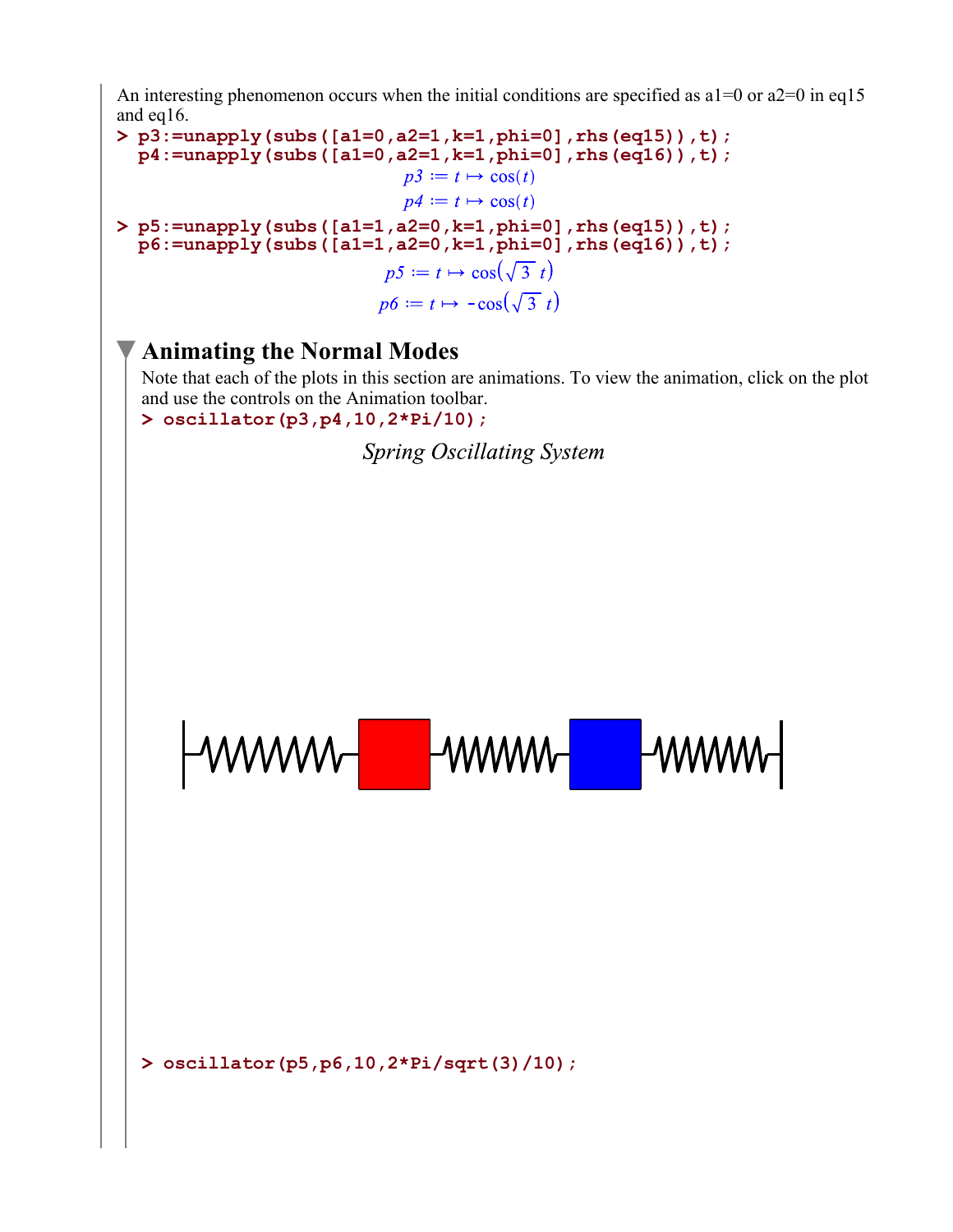An interesting phenomenon occurs when the initial conditions are specified as  $a1=0$  or  $a2=0$  in eq15 and eq16.

**> p3:=unapply(subs([a1=0,a2=1,k=1,phi=0],rhs(eq15)),t); p4:=unapply(subs([a1=0,a2=1,k=1,phi=0],rhs(eq16)),t);**  $p3 := t \mapsto \cos(t)$  $p4 := t \mapsto \cos(t)$ **> p5:=unapply(subs([a1=1,a2=0,k=1,phi=0],rhs(eq15)),t); p6:=unapply(subs([a1=1,a2=0,k=1,phi=0],rhs(eq16)),t);**   $p5 := t \mapsto \cos(\sqrt{3} t)$  $p6 := t \mapsto -\cos(\sqrt{3} t)$ 

### **Animating the Normal Modes**

Note that each of the plots in this section are animations. To view the animation, click on the plot and use the controls on the Animation toolbar.

**> oscillator(p3,p4,10,2\*Pi/10);**

**Spring Oscillating System** 

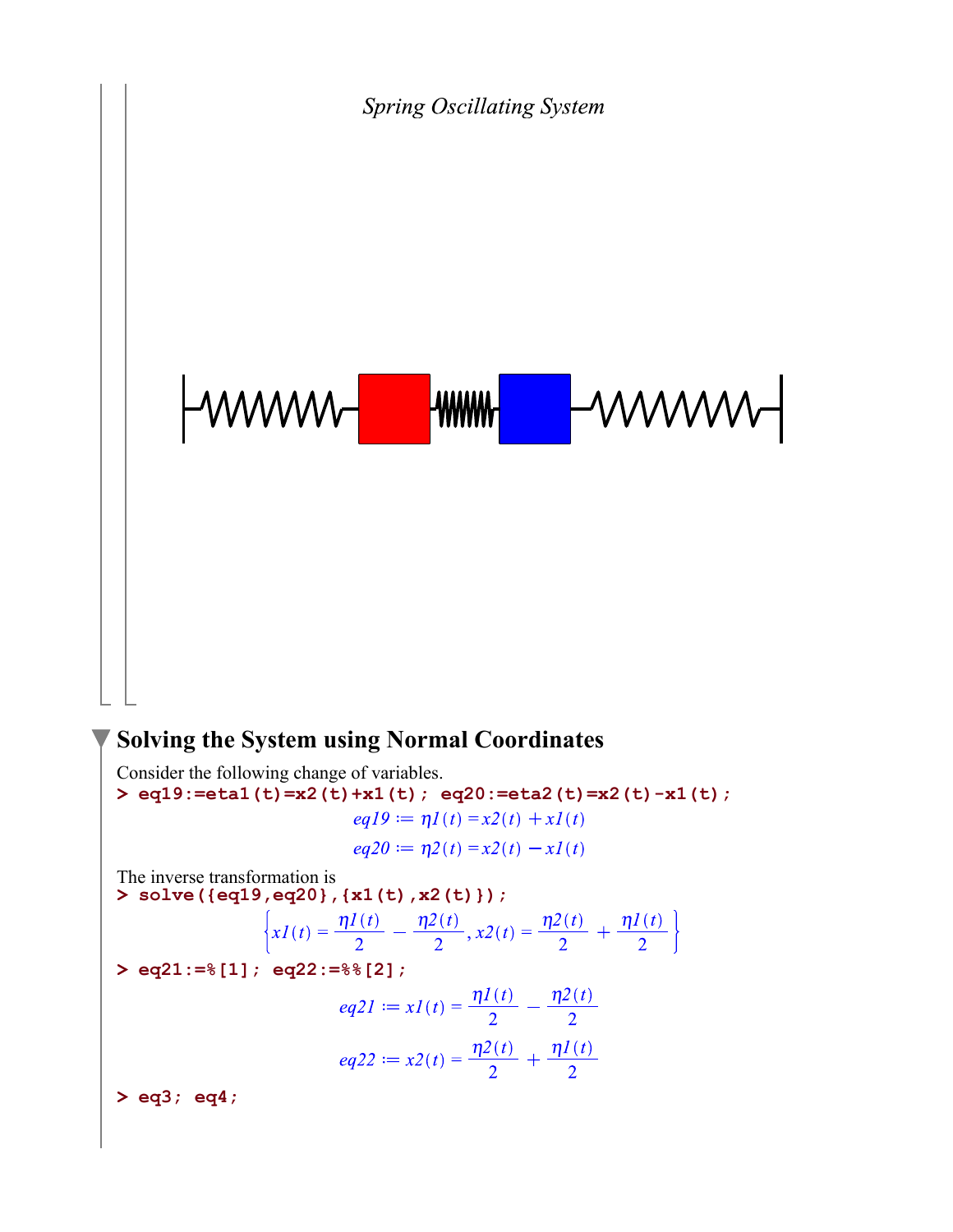